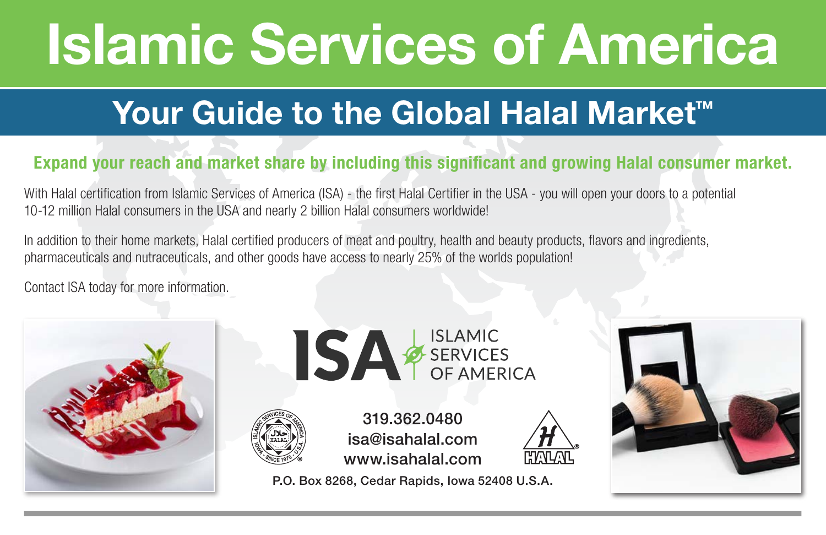# Islamic Services of America

## Your Guide to the Global Halal Market<sup>™</sup>

### Expand your reach and market share by including this signicant and growing Halal consumer market.

With Halal certification from Islamic Services of America (ISA) - the first Halal Certifier in the USA - you will open your doors to a potential 10-12 million Halal consumers in the USA and nearly 2 billion Halal consumers worldwide!

In addition to their home markets, Halal certified producers of meat and poultry, health and beauty products, flavors and ingredients, pharmaceuticals and nutraceuticals, and other goods have access to nearly 25% of the worlds population!

Contact ISA today for more information.







319.362.0480 isa@isahalal.com www.isahalal.com

P.O. Box 8268, Cedar Rapids, Iowa 52408 U.S.A.